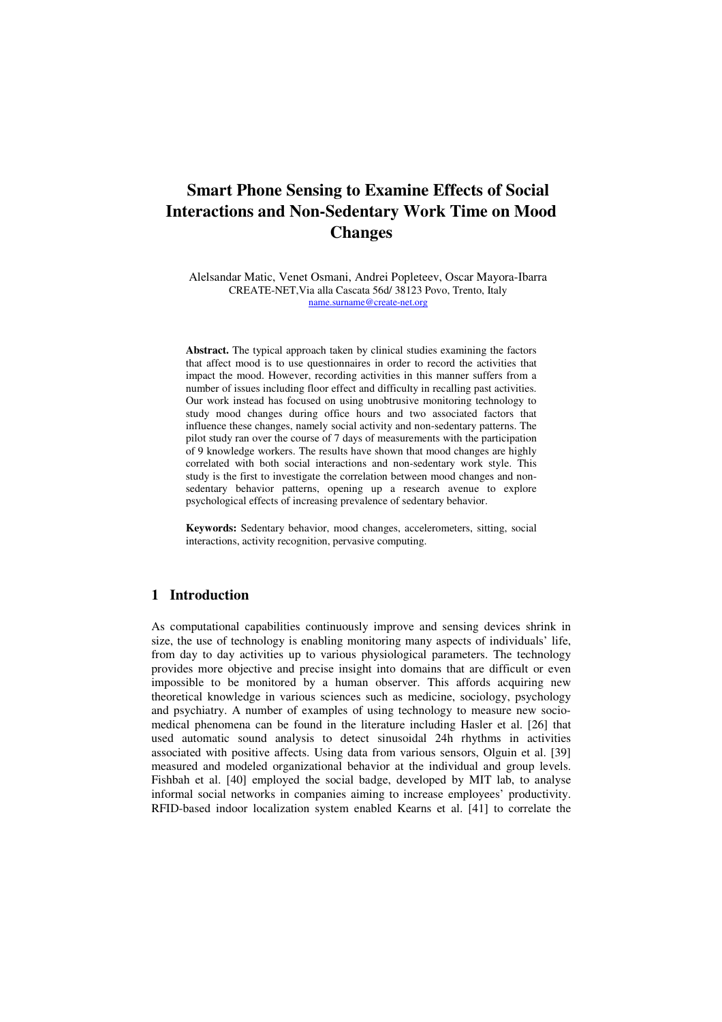# **Smart Phone Sensing to Examine Effects of Social Interactions and Non-Sedentary Work Time on Mood Changes**

Alelsandar Matic, Venet Osmani, Andrei Popleteev, Oscar Mayora-Ibarra CREATE-NET,Via alla Cascata 56d/ 38123 Povo, Trento, Italy name.surname@create-net.org

**Abstract.** The typical approach taken by clinical studies examining the factors that affect mood is to use questionnaires in order to record the activities that impact the mood. However, recording activities in this manner suffers from a number of issues including floor effect and difficulty in recalling past activities. Our work instead has focused on using unobtrusive monitoring technology to study mood changes during office hours and two associated factors that influence these changes, namely social activity and non-sedentary patterns. The pilot study ran over the course of 7 days of measurements with the participation of 9 knowledge workers. The results have shown that mood changes are highly correlated with both social interactions and non-sedentary work style. This study is the first to investigate the correlation between mood changes and nonsedentary behavior patterns, opening up a research avenue to explore psychological effects of increasing prevalence of sedentary behavior.

**Keywords:** Sedentary behavior, mood changes, accelerometers, sitting, social interactions, activity recognition, pervasive computing.

## **1 Introduction**

As computational capabilities continuously improve and sensing devices shrink in size, the use of technology is enabling monitoring many aspects of individuals' life, from day to day activities up to various physiological parameters. The technology provides more objective and precise insight into domains that are difficult or even impossible to be monitored by a human observer. This affords acquiring new theoretical knowledge in various sciences such as medicine, sociology, psychology and psychiatry. A number of examples of using technology to measure new sociomedical phenomena can be found in the literature including Hasler et al. [26] that used automatic sound analysis to detect sinusoidal 24h rhythms in activities associated with positive affects. Using data from various sensors, Olguin et al. [39] measured and modeled organizational behavior at the individual and group levels. Fishbah et al. [40] employed the social badge, developed by MIT lab, to analyse informal social networks in companies aiming to increase employees' productivity. RFID-based indoor localization system enabled Kearns et al. [41] to correlate the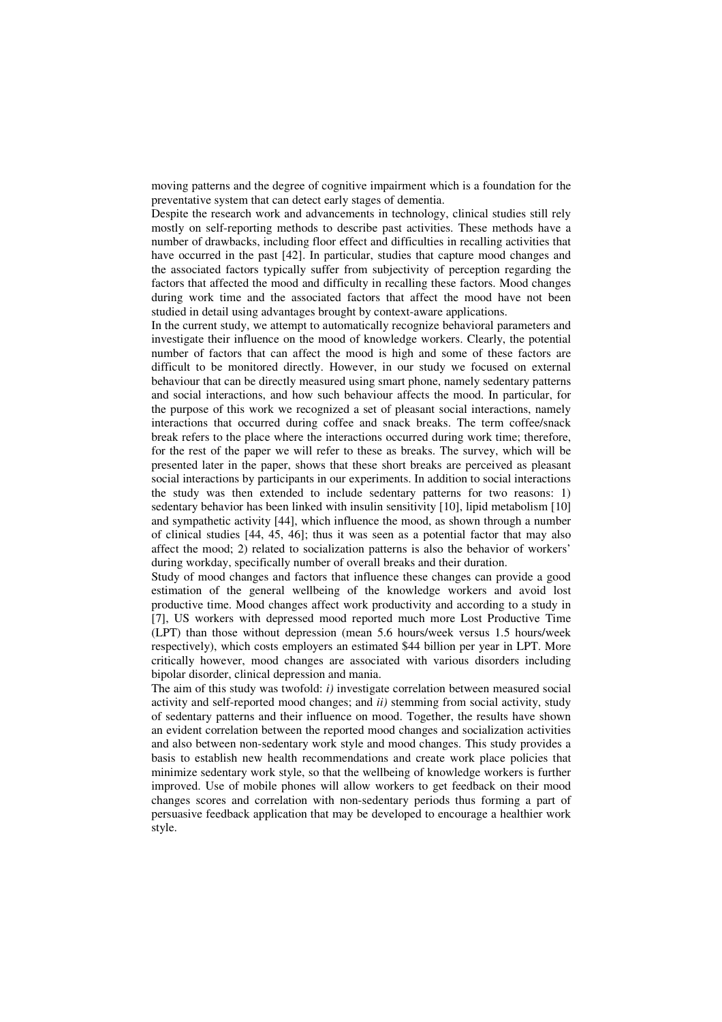moving patterns and the degree of cognitive impairment which is a foundation for the preventative system that can detect early stages of dementia.

Despite the research work and advancements in technology, clinical studies still rely mostly on self-reporting methods to describe past activities. These methods have a number of drawbacks, including floor effect and difficulties in recalling activities that have occurred in the past [42]. In particular, studies that capture mood changes and the associated factors typically suffer from subjectivity of perception regarding the factors that affected the mood and difficulty in recalling these factors. Mood changes during work time and the associated factors that affect the mood have not been studied in detail using advantages brought by context-aware applications.

In the current study, we attempt to automatically recognize behavioral parameters and investigate their influence on the mood of knowledge workers. Clearly, the potential number of factors that can affect the mood is high and some of these factors are difficult to be monitored directly. However, in our study we focused on external behaviour that can be directly measured using smart phone, namely sedentary patterns and social interactions, and how such behaviour affects the mood. In particular, for the purpose of this work we recognized a set of pleasant social interactions, namely interactions that occurred during coffee and snack breaks. The term coffee/snack break refers to the place where the interactions occurred during work time; therefore, for the rest of the paper we will refer to these as breaks. The survey, which will be presented later in the paper, shows that these short breaks are perceived as pleasant social interactions by participants in our experiments. In addition to social interactions the study was then extended to include sedentary patterns for two reasons: 1) sedentary behavior has been linked with insulin sensitivity [10], lipid metabolism [10] and sympathetic activity [44], which influence the mood, as shown through a number of clinical studies [44, 45, 46]; thus it was seen as a potential factor that may also affect the mood; 2) related to socialization patterns is also the behavior of workers' during workday, specifically number of overall breaks and their duration.

Study of mood changes and factors that influence these changes can provide a good estimation of the general wellbeing of the knowledge workers and avoid lost productive time. Mood changes affect work productivity and according to a study in [7], US workers with depressed mood reported much more Lost Productive Time (LPT) than those without depression (mean 5.6 hours/week versus 1.5 hours/week respectively), which costs employers an estimated \$44 billion per year in LPT. More critically however, mood changes are associated with various disorders including bipolar disorder, clinical depression and mania.

The aim of this study was twofold: *i)* investigate correlation between measured social activity and self-reported mood changes; and *ii)* stemming from social activity, study of sedentary patterns and their influence on mood. Together, the results have shown an evident correlation between the reported mood changes and socialization activities and also between non-sedentary work style and mood changes. This study provides a basis to establish new health recommendations and create work place policies that minimize sedentary work style, so that the wellbeing of knowledge workers is further improved. Use of mobile phones will allow workers to get feedback on their mood changes scores and correlation with non-sedentary periods thus forming a part of persuasive feedback application that may be developed to encourage a healthier work style.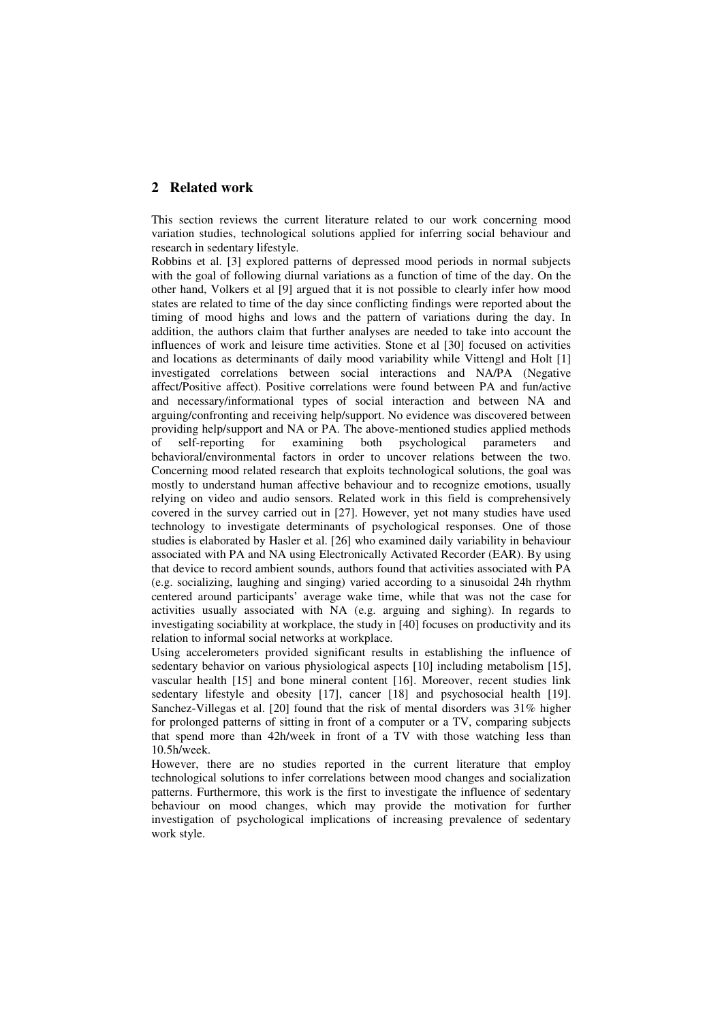# **2 Related work**

This section reviews the current literature related to our work concerning mood variation studies, technological solutions applied for inferring social behaviour and research in sedentary lifestyle.

Robbins et al. [3] explored patterns of depressed mood periods in normal subjects with the goal of following diurnal variations as a function of time of the day. On the other hand, Volkers et al [9] argued that it is not possible to clearly infer how mood states are related to time of the day since conflicting findings were reported about the timing of mood highs and lows and the pattern of variations during the day. In addition, the authors claim that further analyses are needed to take into account the influences of work and leisure time activities. Stone et al [30] focused on activities and locations as determinants of daily mood variability while Vittengl and Holt [1] investigated correlations between social interactions and NA/PA (Negative affect/Positive affect). Positive correlations were found between PA and fun/active and necessary/informational types of social interaction and between NA and arguing/confronting and receiving help/support. No evidence was discovered between providing help/support and NA or PA. The above-mentioned studies applied methods of self-reporting for examining both psychological parameters and behavioral/environmental factors in order to uncover relations between the two. Concerning mood related research that exploits technological solutions, the goal was mostly to understand human affective behaviour and to recognize emotions, usually relying on video and audio sensors. Related work in this field is comprehensively covered in the survey carried out in [27]. However, yet not many studies have used technology to investigate determinants of psychological responses. One of those studies is elaborated by Hasler et al. [26] who examined daily variability in behaviour associated with PA and NA using Electronically Activated Recorder (EAR). By using that device to record ambient sounds, authors found that activities associated with PA (e.g. socializing, laughing and singing) varied according to a sinusoidal 24h rhythm centered around participants' average wake time, while that was not the case for activities usually associated with NA (e.g. arguing and sighing). In regards to investigating sociability at workplace, the study in [40] focuses on productivity and its relation to informal social networks at workplace.

Using accelerometers provided significant results in establishing the influence of sedentary behavior on various physiological aspects [10] including metabolism [15], vascular health [15] and bone mineral content [16]. Moreover, recent studies link sedentary lifestyle and obesity [17], cancer [18] and psychosocial health [19]. Sanchez-Villegas et al. [20] found that the risk of mental disorders was 31% higher for prolonged patterns of sitting in front of a computer or a TV, comparing subjects that spend more than 42h/week in front of a TV with those watching less than 10.5h/week.

However, there are no studies reported in the current literature that employ technological solutions to infer correlations between mood changes and socialization patterns. Furthermore, this work is the first to investigate the influence of sedentary behaviour on mood changes, which may provide the motivation for further investigation of psychological implications of increasing prevalence of sedentary work style.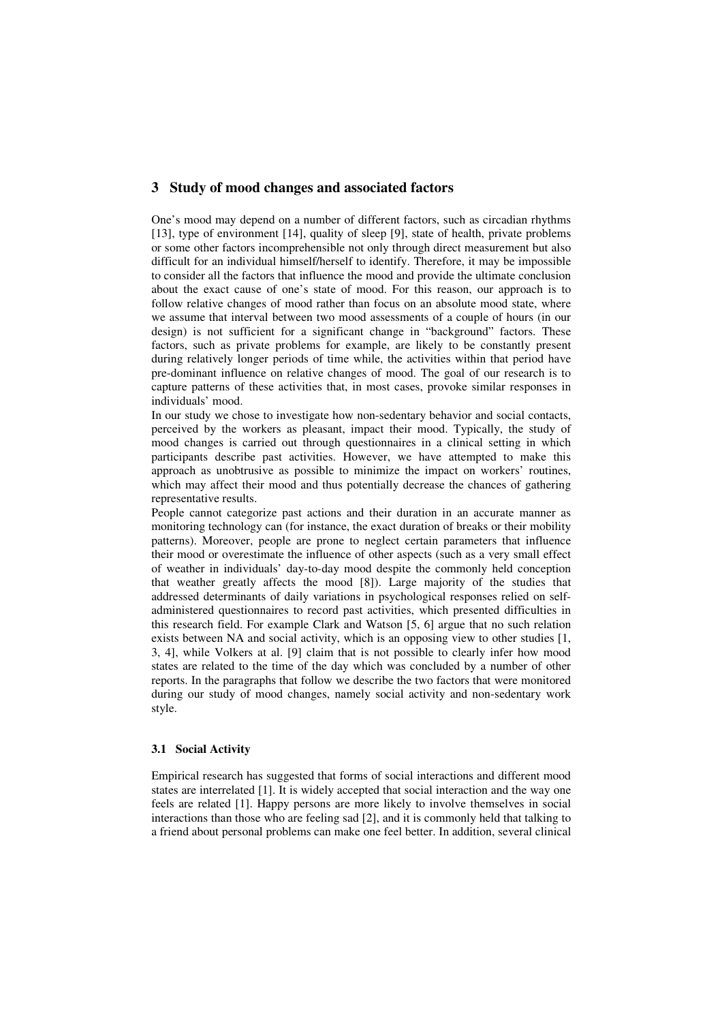# **3 Study of mood changes and associated factors**

One's mood may depend on a number of different factors, such as circadian rhythms [13], type of environment [14], quality of sleep [9], state of health, private problems or some other factors incomprehensible not only through direct measurement but also difficult for an individual himself/herself to identify. Therefore, it may be impossible to consider all the factors that influence the mood and provide the ultimate conclusion about the exact cause of one's state of mood. For this reason, our approach is to follow relative changes of mood rather than focus on an absolute mood state, where we assume that interval between two mood assessments of a couple of hours (in our design) is not sufficient for a significant change in "background" factors. These factors, such as private problems for example, are likely to be constantly present during relatively longer periods of time while, the activities within that period have pre-dominant influence on relative changes of mood. The goal of our research is to capture patterns of these activities that, in most cases, provoke similar responses in individuals' mood.

In our study we chose to investigate how non-sedentary behavior and social contacts, perceived by the workers as pleasant, impact their mood. Typically, the study of mood changes is carried out through questionnaires in a clinical setting in which participants describe past activities. However, we have attempted to make this approach as unobtrusive as possible to minimize the impact on workers' routines, which may affect their mood and thus potentially decrease the chances of gathering representative results.

People cannot categorize past actions and their duration in an accurate manner as monitoring technology can (for instance, the exact duration of breaks or their mobility patterns). Moreover, people are prone to neglect certain parameters that influence their mood or overestimate the influence of other aspects (such as a very small effect of weather in individuals' day-to-day mood despite the commonly held conception that weather greatly affects the mood [8]). Large majority of the studies that addressed determinants of daily variations in psychological responses relied on selfadministered questionnaires to record past activities, which presented difficulties in this research field. For example Clark and Watson [5, 6] argue that no such relation exists between NA and social activity, which is an opposing view to other studies [1, 3, 4], while Volkers at al. [9] claim that is not possible to clearly infer how mood states are related to the time of the day which was concluded by a number of other reports. In the paragraphs that follow we describe the two factors that were monitored during our study of mood changes, namely social activity and non-sedentary work style.

### **3.1 Social Activity**

Empirical research has suggested that forms of social interactions and different mood states are interrelated [1]. It is widely accepted that social interaction and the way one feels are related [1]. Happy persons are more likely to involve themselves in social interactions than those who are feeling sad [2], and it is commonly held that talking to a friend about personal problems can make one feel better. In addition, several clinical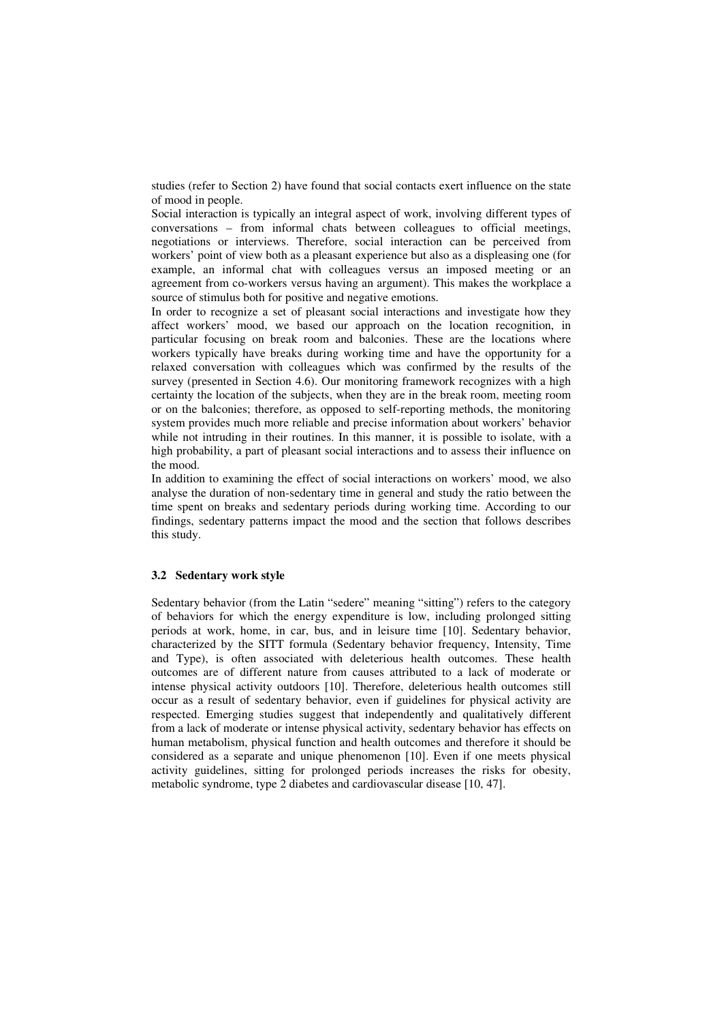studies (refer to Section 2) have found that social contacts exert influence on the state of mood in people.

Social interaction is typically an integral aspect of work, involving different types of conversations – from informal chats between colleagues to official meetings, negotiations or interviews. Therefore, social interaction can be perceived from workers' point of view both as a pleasant experience but also as a displeasing one (for example, an informal chat with colleagues versus an imposed meeting or an agreement from co-workers versus having an argument). This makes the workplace a source of stimulus both for positive and negative emotions.

In order to recognize a set of pleasant social interactions and investigate how they affect workers' mood, we based our approach on the location recognition, in particular focusing on break room and balconies. These are the locations where workers typically have breaks during working time and have the opportunity for a relaxed conversation with colleagues which was confirmed by the results of the survey (presented in Section 4.6). Our monitoring framework recognizes with a high certainty the location of the subjects, when they are in the break room, meeting room or on the balconies; therefore, as opposed to self-reporting methods, the monitoring system provides much more reliable and precise information about workers' behavior while not intruding in their routines. In this manner, it is possible to isolate, with a high probability, a part of pleasant social interactions and to assess their influence on the mood.

In addition to examining the effect of social interactions on workers' mood, we also analyse the duration of non-sedentary time in general and study the ratio between the time spent on breaks and sedentary periods during working time. According to our findings, sedentary patterns impact the mood and the section that follows describes this study.

### **3.2 Sedentary work style**

Sedentary behavior (from the Latin "sedere" meaning "sitting") refers to the category of behaviors for which the energy expenditure is low, including prolonged sitting periods at work, home, in car, bus, and in leisure time [10]. Sedentary behavior, characterized by the SITT formula (Sedentary behavior frequency, Intensity, Time and Type), is often associated with deleterious health outcomes. These health outcomes are of different nature from causes attributed to a lack of moderate or intense physical activity outdoors [10]. Therefore, deleterious health outcomes still occur as a result of sedentary behavior, even if guidelines for physical activity are respected. Emerging studies suggest that independently and qualitatively different from a lack of moderate or intense physical activity, sedentary behavior has effects on human metabolism, physical function and health outcomes and therefore it should be considered as a separate and unique phenomenon [10]. Even if one meets physical activity guidelines, sitting for prolonged periods increases the risks for obesity, metabolic syndrome, type 2 diabetes and cardiovascular disease [10, 47].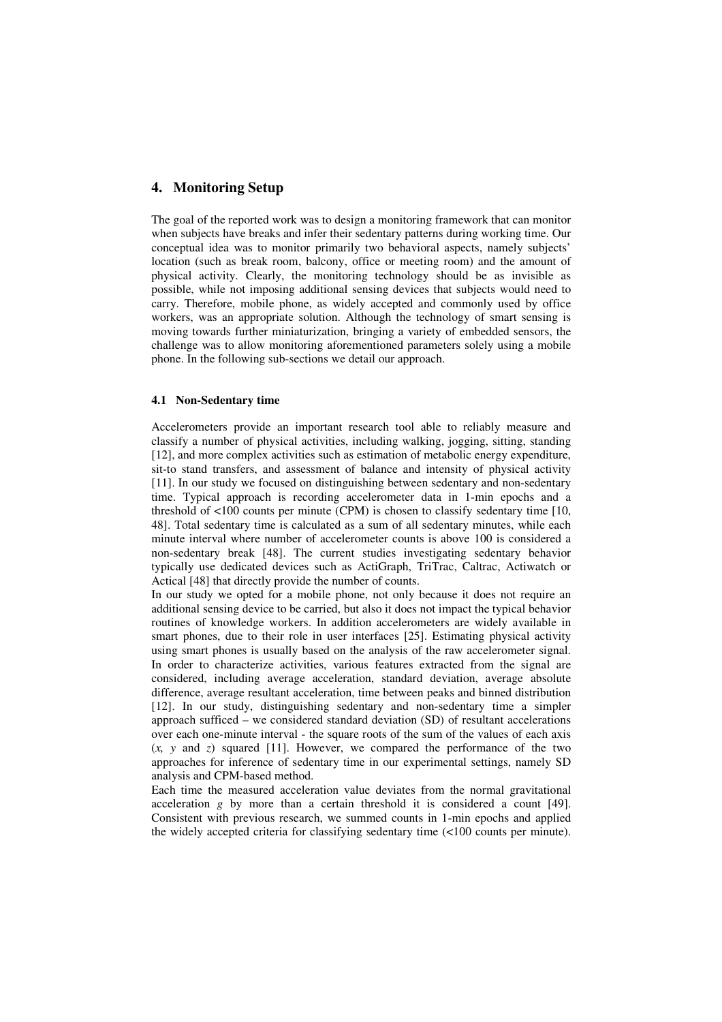# **4. Monitoring Setup**

The goal of the reported work was to design a monitoring framework that can monitor when subjects have breaks and infer their sedentary patterns during working time. Our conceptual idea was to monitor primarily two behavioral aspects, namely subjects' location (such as break room, balcony, office or meeting room) and the amount of physical activity. Clearly, the monitoring technology should be as invisible as possible, while not imposing additional sensing devices that subjects would need to carry. Therefore, mobile phone, as widely accepted and commonly used by office workers, was an appropriate solution. Although the technology of smart sensing is moving towards further miniaturization, bringing a variety of embedded sensors, the challenge was to allow monitoring aforementioned parameters solely using a mobile phone. In the following sub-sections we detail our approach.

### **4.1 Non-Sedentary time**

Accelerometers provide an important research tool able to reliably measure and classify a number of physical activities, including walking, jogging, sitting, standing [12], and more complex activities such as estimation of metabolic energy expenditure, sit-to stand transfers, and assessment of balance and intensity of physical activity [11]. In our study we focused on distinguishing between sedentary and non-sedentary time. Typical approach is recording accelerometer data in 1-min epochs and a threshold of <100 counts per minute (CPM) is chosen to classify sedentary time [10, 48]. Total sedentary time is calculated as a sum of all sedentary minutes, while each minute interval where number of accelerometer counts is above 100 is considered a non-sedentary break [48]. The current studies investigating sedentary behavior typically use dedicated devices such as ActiGraph, TriTrac, Caltrac, Actiwatch or Actical [48] that directly provide the number of counts.

In our study we opted for a mobile phone, not only because it does not require an additional sensing device to be carried, but also it does not impact the typical behavior routines of knowledge workers. In addition accelerometers are widely available in smart phones, due to their role in user interfaces [25]. Estimating physical activity using smart phones is usually based on the analysis of the raw accelerometer signal. In order to characterize activities, various features extracted from the signal are considered, including average acceleration, standard deviation, average absolute difference, average resultant acceleration, time between peaks and binned distribution [12]. In our study, distinguishing sedentary and non-sedentary time a simpler approach sufficed – we considered standard deviation (SD) of resultant accelerations over each one-minute interval - the square roots of the sum of the values of each axis  $(x, y, z)$  squared [11]. However, we compared the performance of the two approaches for inference of sedentary time in our experimental settings, namely SD analysis and CPM-based method.

Each time the measured acceleration value deviates from the normal gravitational acceleration *g* by more than a certain threshold it is considered a count [49]. Consistent with previous research, we summed counts in 1-min epochs and applied the widely accepted criteria for classifying sedentary time (<100 counts per minute).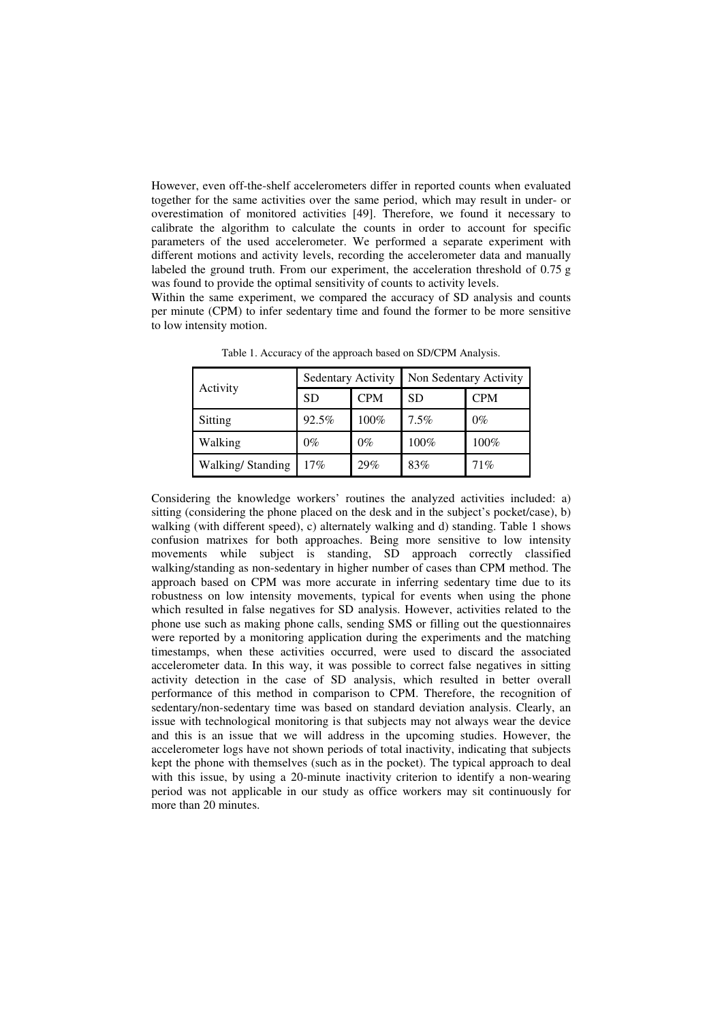However, even off-the-shelf accelerometers differ in reported counts when evaluated together for the same activities over the same period, which may result in under- or overestimation of monitored activities [49]. Therefore, we found it necessary to calibrate the algorithm to calculate the counts in order to account for specific parameters of the used accelerometer. We performed a separate experiment with different motions and activity levels, recording the accelerometer data and manually labeled the ground truth. From our experiment, the acceleration threshold of 0.75 g was found to provide the optimal sensitivity of counts to activity levels.

Within the same experiment, we compared the accuracy of SD analysis and counts per minute (CPM) to infer sedentary time and found the former to be more sensitive to low intensity motion.

| Activity         | <b>Sedentary Activity</b> |            | Non Sedentary Activity |            |
|------------------|---------------------------|------------|------------------------|------------|
|                  | <b>SD</b>                 | <b>CPM</b> | <b>SD</b>              | <b>CPM</b> |
| Sitting          | 92.5%                     | 100%       | 7.5%                   | $0\%$      |
| Walking          | $0\%$                     | $0\%$      | 100%                   | 100%       |
| Walking/Standing | 17%                       | 29%        | 83%                    | 71%        |

Table 1. Accuracy of the approach based on SD/CPM Analysis.

Considering the knowledge workers' routines the analyzed activities included: a) sitting (considering the phone placed on the desk and in the subject's pocket/case), b) walking (with different speed), c) alternately walking and d) standing. Table 1 shows confusion matrixes for both approaches. Being more sensitive to low intensity movements while subject is standing, SD approach correctly classified walking/standing as non-sedentary in higher number of cases than CPM method. The approach based on CPM was more accurate in inferring sedentary time due to its robustness on low intensity movements, typical for events when using the phone which resulted in false negatives for SD analysis. However, activities related to the phone use such as making phone calls, sending SMS or filling out the questionnaires were reported by a monitoring application during the experiments and the matching timestamps, when these activities occurred, were used to discard the associated accelerometer data. In this way, it was possible to correct false negatives in sitting activity detection in the case of SD analysis, which resulted in better overall performance of this method in comparison to CPM. Therefore, the recognition of sedentary/non-sedentary time was based on standard deviation analysis. Clearly, an issue with technological monitoring is that subjects may not always wear the device and this is an issue that we will address in the upcoming studies. However, the accelerometer logs have not shown periods of total inactivity, indicating that subjects kept the phone with themselves (such as in the pocket). The typical approach to deal with this issue, by using a 20-minute inactivity criterion to identify a non-wearing period was not applicable in our study as office workers may sit continuously for more than 20 minutes.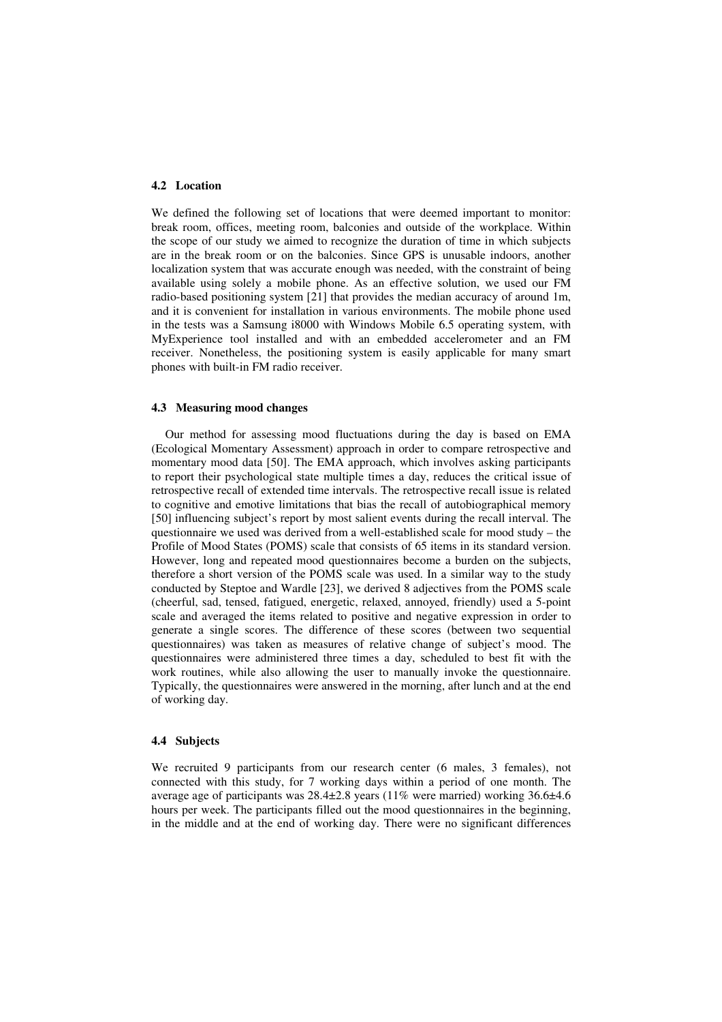#### **4.2 Location**

We defined the following set of locations that were deemed important to monitor: break room, offices, meeting room, balconies and outside of the workplace. Within the scope of our study we aimed to recognize the duration of time in which subjects are in the break room or on the balconies. Since GPS is unusable indoors, another localization system that was accurate enough was needed, with the constraint of being available using solely a mobile phone. As an effective solution, we used our FM radio-based positioning system [21] that provides the median accuracy of around 1m, and it is convenient for installation in various environments. The mobile phone used in the tests was a Samsung i8000 with Windows Mobile 6.5 operating system, with MyExperience tool installed and with an embedded accelerometer and an FM receiver. Nonetheless, the positioning system is easily applicable for many smart phones with built-in FM radio receiver.

#### **4.3 Measuring mood changes**

Our method for assessing mood fluctuations during the day is based on EMA (Ecological Momentary Assessment) approach in order to compare retrospective and momentary mood data [50]. The EMA approach, which involves asking participants to report their psychological state multiple times a day, reduces the critical issue of retrospective recall of extended time intervals. The retrospective recall issue is related to cognitive and emotive limitations that bias the recall of autobiographical memory [50] influencing subject's report by most salient events during the recall interval. The questionnaire we used was derived from a well-established scale for mood study – the Profile of Mood States (POMS) scale that consists of 65 items in its standard version. However, long and repeated mood questionnaires become a burden on the subjects, therefore a short version of the POMS scale was used. In a similar way to the study conducted by Steptoe and Wardle [23], we derived 8 adjectives from the POMS scale (cheerful, sad, tensed, fatigued, energetic, relaxed, annoyed, friendly) used a 5-point scale and averaged the items related to positive and negative expression in order to generate a single scores. The difference of these scores (between two sequential questionnaires) was taken as measures of relative change of subject's mood. The questionnaires were administered three times a day, scheduled to best fit with the work routines, while also allowing the user to manually invoke the questionnaire. Typically, the questionnaires were answered in the morning, after lunch and at the end of working day.

### **4.4 Subjects**

We recruited 9 participants from our research center (6 males, 3 females), not connected with this study, for 7 working days within a period of one month. The average age of participants was  $28.4\pm 2.8$  years (11% were married) working  $36.6\pm 4.6$ hours per week. The participants filled out the mood questionnaires in the beginning, in the middle and at the end of working day. There were no significant differences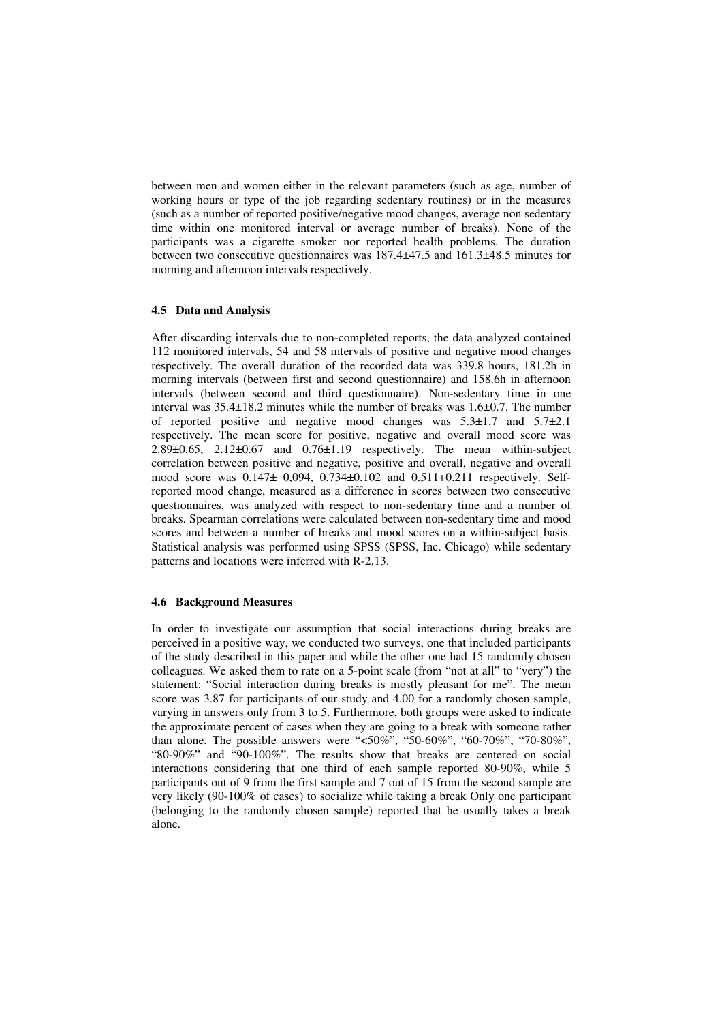between men and women either in the relevant parameters (such as age, number of working hours or type of the job regarding sedentary routines) or in the measures (such as a number of reported positive/negative mood changes, average non sedentary time within one monitored interval or average number of breaks). None of the participants was a cigarette smoker nor reported health problems. The duration between two consecutive questionnaires was 187.4±47.5 and 161.3±48.5 minutes for morning and afternoon intervals respectively.

# **4.5 Data and Analysis**

After discarding intervals due to non-completed reports, the data analyzed contained 112 monitored intervals, 54 and 58 intervals of positive and negative mood changes respectively. The overall duration of the recorded data was 339.8 hours, 181.2h in morning intervals (between first and second questionnaire) and 158.6h in afternoon intervals (between second and third questionnaire). Non-sedentary time in one interval was  $35.4\pm18.2$  minutes while the number of breaks was  $1.6\pm0.7$ . The number of reported positive and negative mood changes was 5.3±1.7 and 5.7±2.1 respectively. The mean score for positive, negative and overall mood score was  $2.89\pm0.65$ ,  $2.12\pm0.67$  and  $0.76\pm1.19$  respectively. The mean within-subject correlation between positive and negative, positive and overall, negative and overall mood score was 0.147± 0,094, 0.734±0.102 and 0.511+0.211 respectively. Selfreported mood change, measured as a difference in scores between two consecutive questionnaires, was analyzed with respect to non-sedentary time and a number of breaks. Spearman correlations were calculated between non-sedentary time and mood scores and between a number of breaks and mood scores on a within-subject basis. Statistical analysis was performed using SPSS (SPSS, Inc. Chicago) while sedentary patterns and locations were inferred with R-2.13.

### **4.6 Background Measures**

In order to investigate our assumption that social interactions during breaks are perceived in a positive way, we conducted two surveys, one that included participants of the study described in this paper and while the other one had 15 randomly chosen colleagues. We asked them to rate on a 5-point scale (from "not at all" to "very") the statement: "Social interaction during breaks is mostly pleasant for me". The mean score was 3.87 for participants of our study and 4.00 for a randomly chosen sample, varying in answers only from 3 to 5. Furthermore, both groups were asked to indicate the approximate percent of cases when they are going to a break with someone rather than alone. The possible answers were "<50%", "50-60%", "60-70%", "70-80%", "80-90%" and "90-100%". The results show that breaks are centered on social interactions considering that one third of each sample reported 80-90%, while 5 participants out of 9 from the first sample and 7 out of 15 from the second sample are very likely (90-100% of cases) to socialize while taking a break Only one participant (belonging to the randomly chosen sample) reported that he usually takes a break alone.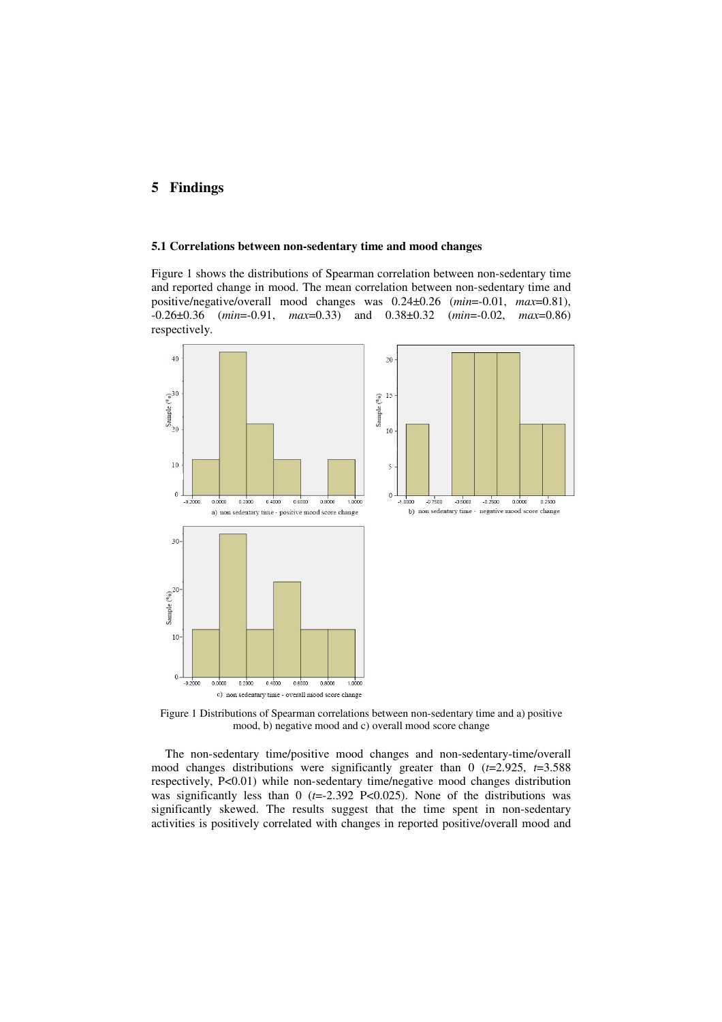# **5 Findings**

### **5.1 Correlations between non-sedentary time and mood changes**

Figure 1 shows the distributions of Spearman correlation between non-sedentary time and reported change in mood. The mean correlation between non-sedentary time and positive/negative/overall mood changes was 0.24±0.26 (*min*=-0.01, *max*=0.81), -0.26±0.36 (*min*=-0.91, *max*=0.33) and 0.38±0.32 (*min*=-0.02, *max*=0.86) respectively.



Figure 1 Distributions of Spearman correlations between non-sedentary time and a) positive mood, b) negative mood and c) overall mood score change

The non-sedentary time/positive mood changes and non-sedentary-time/overall mood changes distributions were significantly greater than 0 (*t*=2.925, *t*=3.588 respectively, P<0.01) while non-sedentary time/negative mood changes distribution was significantly less than  $0$  ( $t=$ -2.392 P<0.025). None of the distributions was significantly skewed. The results suggest that the time spent in non-sedentary activities is positively correlated with changes in reported positive/overall mood and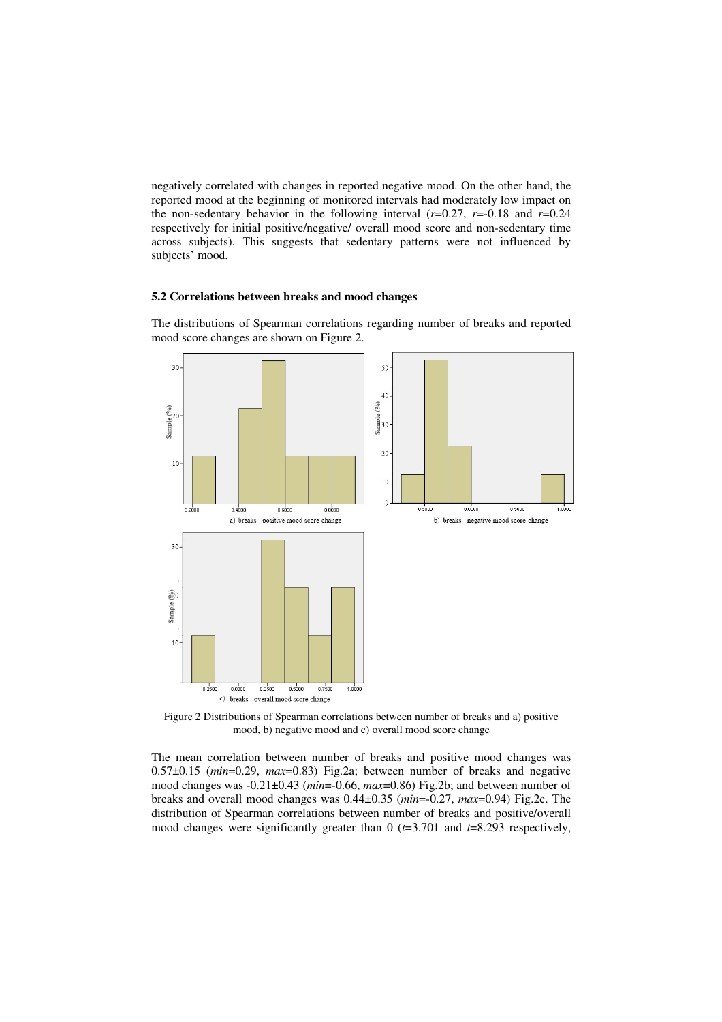negatively correlated with changes in reported negative mood. On the other hand, the reported mood at the beginning of monitored intervals had moderately low impact on the non-sedentary behavior in the following interval  $(r=0.27, r=-0.18$  and  $r=0.24$ respectively for initial positive/negative/ overall mood score and non-sedentary time across subjects). This suggests that sedentary patterns were not influenced by subjects' mood.

### **5.2 Correlations between breaks and mood changes**

The distributions of Spearman correlations regarding number of breaks and reported mood score changes are shown on Figure 2.



Figure 2 Distributions of Spearman correlations between number of breaks and a) positive mood, b) negative mood and c) overall mood score change

The mean correlation between number of breaks and positive mood changes was 0.57±0.15 (*min*=0.29, *max*=0.83) Fig.2a; between number of breaks and negative mood changes was -0.21±0.43 (*min*=-0.66, *max*=0.86) Fig.2b; and between number of breaks and overall mood changes was 0.44±0.35 (*min*=-0.27, *max*=0.94) Fig.2c. The distribution of Spearman correlations between number of breaks and positive/overall mood changes were significantly greater than 0 (*t*=3.701 and *t*=8.293 respectively,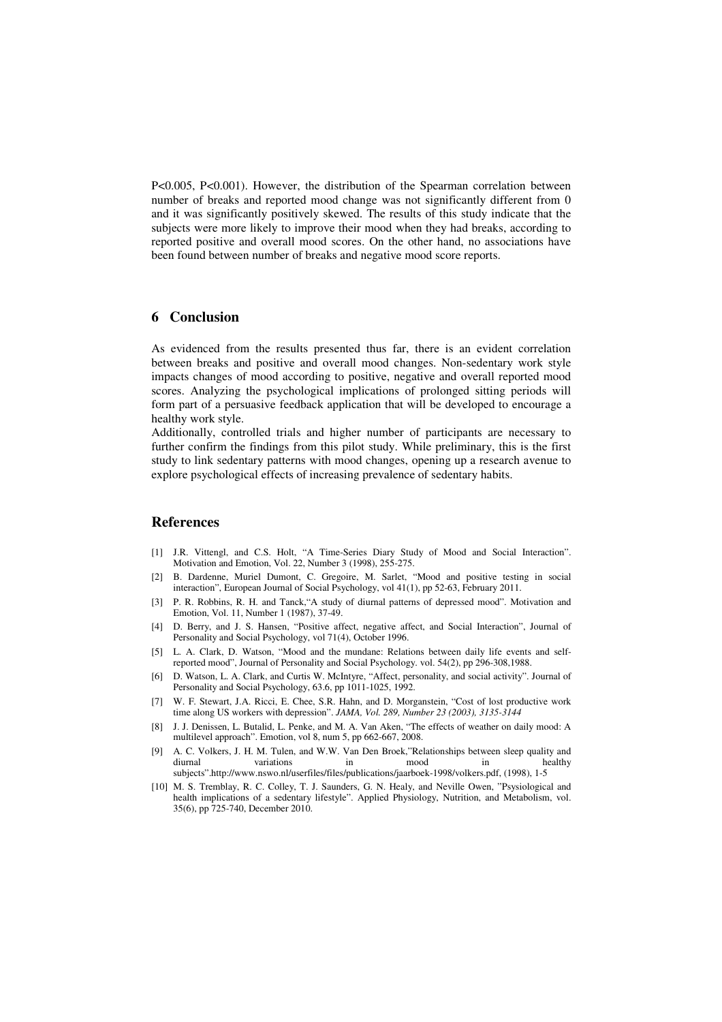P<0.005, P<0.001). However, the distribution of the Spearman correlation between number of breaks and reported mood change was not significantly different from 0 and it was significantly positively skewed. The results of this study indicate that the subjects were more likely to improve their mood when they had breaks, according to reported positive and overall mood scores. On the other hand, no associations have been found between number of breaks and negative mood score reports.

# **6 Conclusion**

As evidenced from the results presented thus far, there is an evident correlation between breaks and positive and overall mood changes. Non-sedentary work style impacts changes of mood according to positive, negative and overall reported mood scores. Analyzing the psychological implications of prolonged sitting periods will form part of a persuasive feedback application that will be developed to encourage a healthy work style.

Additionally, controlled trials and higher number of participants are necessary to further confirm the findings from this pilot study. While preliminary, this is the first study to link sedentary patterns with mood changes, opening up a research avenue to explore psychological effects of increasing prevalence of sedentary habits.

## **References**

- [1] J.R. Vittengl, and C.S. Holt, "A Time-Series Diary Study of Mood and Social Interaction". Motivation and Emotion, Vol. 22, Number 3 (1998), 255-275.
- [2] B. Dardenne, Muriel Dumont, C. Gregoire, M. Sarlet, "Mood and positive testing in social interaction", European Journal of Social Psychology, vol 41(1), pp 52-63, February 2011.
- [3] P. R. Robbins, R. H. and Tanck,"A study of diurnal patterns of depressed mood". Motivation and Emotion, Vol. 11, Number 1 (1987), 37-49.
- [4] D. Berry, and J. S. Hansen, "Positive affect, negative affect, and Social Interaction", Journal of Personality and Social Psychology, vol 71(4), October 1996.
- [5] L. A. Clark, D. Watson, "Mood and the mundane: Relations between daily life events and selfreported mood", Journal of Personality and Social Psychology. vol. 54(2), pp 296-308,1988.
- [6] D. Watson, L. A. Clark, and Curtis W. McIntyre, "Affect, personality, and social activity". Journal of Personality and Social Psychology, 63.6, pp 1011-1025, 1992.
- [7] W. F. Stewart, J.A. Ricci, E. Chee, S.R. Hahn, and D. Morganstein, "Cost of lost productive work time along US workers with depression". *JAMA, Vol. 289, Number 23 (2003), 3135-3144*
- [8] J. J. Denissen, L. Butalid, L. Penke, and M. A. Van Aken, "The effects of weather on daily mood: A multilevel approach". Emotion, vol 8, num 5, pp 662-667, 2008.
- [9] A. C. Volkers, J. H. M. Tulen, and W.W. Van Den Broek,"Relationships between sleep quality and diurnal variations in mood in healthy subjects".http://www.nswo.nl/userfiles/files/publications/jaarboek-1998/volkers.pdf, (1998), 1-5
- [10] M. S. Tremblay, R. C. Colley, T. J. Saunders, G. N. Healy, and Neville Owen, "Psysiological and health implications of a sedentary lifestyle". Applied Physiology, Nutrition, and Metabolism, vol. 35(6), pp 725-740, December 2010.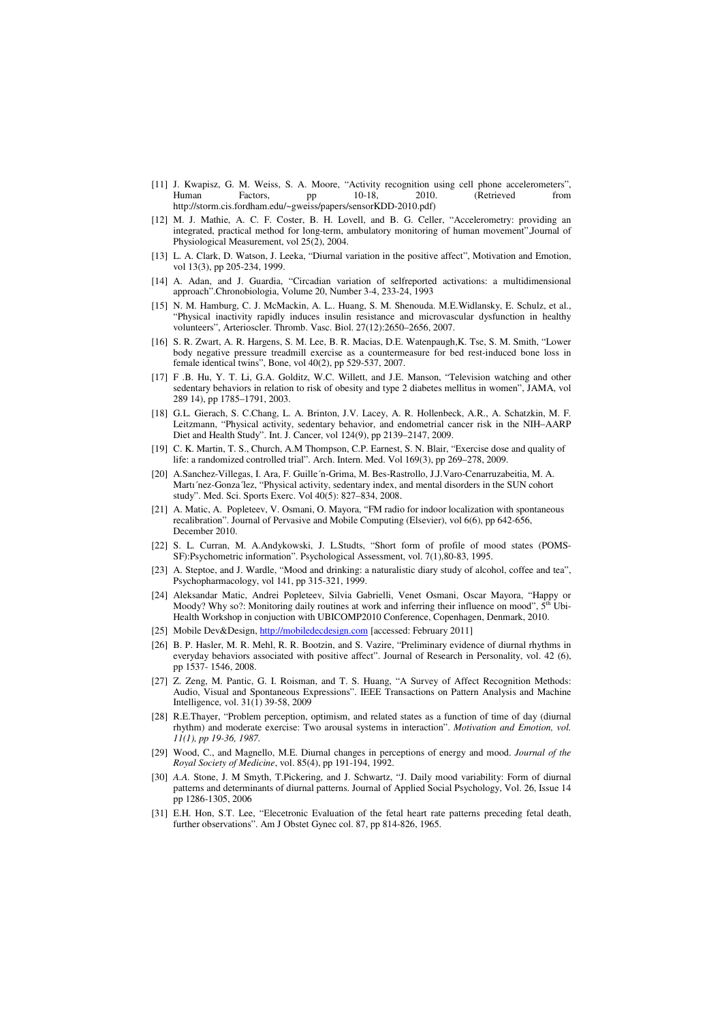- [11] J. Kwapisz, G. M. Weiss, S. A. Moore, "Activity recognition using cell phone accelerometers", Human Factors, pp 10-18, 2010. (Retrieved from http://storm.cis.fordham.edu/~gweiss/papers/sensorKDD-2010.pdf)
- [12] M. J. Mathie, A. C. F. Coster, B. H. Lovell, and B. G. Celler, "Accelerometry: providing an integrated, practical method for long-term, ambulatory monitoring of human movement",Journal of Physiological Measurement, vol 25(2), 2004.
- [13] L. A. Clark, D. Watson, J. Leeka, "Diurnal variation in the positive affect", Motivation and Emotion, vol 13(3), pp 205-234, 1999.
- [14] A. Adan, and J. Guardia, "Circadian variation of selfreported activations: a multidimensional approach".Chronobiologia, Volume 20, Number 3-4, 233-24, 1993
- [15] N. M. Hamburg, C. J. McMackin, A. L.. Huang, S. M. Shenouda. M.E.Widlansky, E. Schulz, et al., "Physical inactivity rapidly induces insulin resistance and microvascular dysfunction in healthy volunteers", Arterioscler. Thromb. Vasc. Biol. 27(12):2650–2656, 2007.
- [16] S. R. Zwart, A. R. Hargens, S. M. Lee, B. R. Macias, D.E. Watenpaugh,K. Tse, S. M. Smith, "Lower body negative pressure treadmill exercise as a countermeasure for bed rest-induced bone loss in female identical twins", Bone, vol 40(2), pp 529-537, 2007.
- [17] F .B. Hu, Y. T. Li, G.A. Golditz, W.C. Willett, and J.E. Manson, "Television watching and other sedentary behaviors in relation to risk of obesity and type 2 diabetes mellitus in women", JAMA, vol 289 14), pp 1785–1791, 2003.
- [18] G.L. Gierach, S. C.Chang, L. A. Brinton, J.V. Lacey, A. R. Hollenbeck, A.R., A. Schatzkin, M. F. Leitzmann, "Physical activity, sedentary behavior, and endometrial cancer risk in the NIH–AARP Diet and Health Study". Int. J. Cancer, vol 124(9), pp 2139–2147, 2009.
- [19] C. K. Martin, T. S., Church, A.M Thompson, C.P. Earnest, S. N. Blair, "Exercise dose and quality of life: a randomized controlled trial". Arch. Intern. Med. Vol 169(3), pp 269–278, 2009.
- [20] A.Sanchez-Villegas, I. Ara, F. Guille´n-Grima, M. Bes-Rastrollo, J.J.Varo-Cenarruzabeitia, M. A. Martı´nez-Gonza´lez, "Physical activity, sedentary index, and mental disorders in the SUN cohort study". Med. Sci. Sports Exerc. Vol 40(5): 827–834, 2008.
- [21] A. Matic, A. Popleteev, V. Osmani, O. Mayora, "FM radio for indoor localization with spontaneous recalibration". Journal of Pervasive and Mobile Computing (Elsevier), vol 6(6), pp 642-656, December 2010.
- [22] S. L. Curran, M. A.Andykowski, J. L.Studts, "Short form of profile of mood states (POMS-SF):Psychometric information". Psychological Assessment, vol. 7(1),80-83, 1995.
- [23] A. Steptoe, and J. Wardle, "Mood and drinking: a naturalistic diary study of alcohol, coffee and tea", Psychopharmacology, vol 141, pp 315-321, 1999.
- [24] Aleksandar Matic, Andrei Popleteev, Silvia Gabrielli, Venet Osmani, Oscar Mayora, "Happy or Moody? Why so?: Monitoring daily routines at work and inferring their influence on mood",  $5<sup>th</sup>$  Ubi-Health Workshop in conjuction with UBICOMP2010 Conference, Copenhagen, Denmark, 2010.
- [25] Mobile Dev&Design, http://mobiledecdesign.com [accessed: February 2011]
- [26] B. P. Hasler, M. R. Mehl, R. R. Bootzin, and S. Vazire, "Preliminary evidence of diurnal rhythms in everyday behaviors associated with positive affect". Journal of Research in Personality, vol. 42 (6), pp 1537- 1546, 2008.
- [27] Z. Zeng, M. Pantic, G. I. Roisman, and T. S. Huang, "A Survey of Affect Recognition Methods: Audio, Visual and Spontaneous Expressions". IEEE Transactions on Pattern Analysis and Machine Intelligence, vol. 31(1) 39-58, 2009
- [28] R.E.Thayer, "Problem perception, optimism, and related states as a function of time of day (diurnal rhythm) and moderate exercise: Two arousal systems in interaction". *Motivation and Emotion, vol. 11(1), pp 19-36, 1987.*
- [29] Wood, C., and Magnello, M.E. Diurnal changes in perceptions of energy and mood. *Journal of the Royal Society of Medicine*, vol. 85(4), pp 191-194, 1992.
- [30] *A.A.* Stone, J. M Smyth, T.Pickering, and J. Schwartz, "J. Daily mood variability: Form of diurnal patterns and determinants of diurnal patterns. Journal of Applied Social Psychology, Vol. 26, Issue 14 pp 1286-1305, 2006
- [31] E.H. Hon, S.T. Lee, "Elecetronic Evaluation of the fetal heart rate patterns preceding fetal death, further observations". Am J Obstet Gynec col. 87, pp 814-826, 1965.